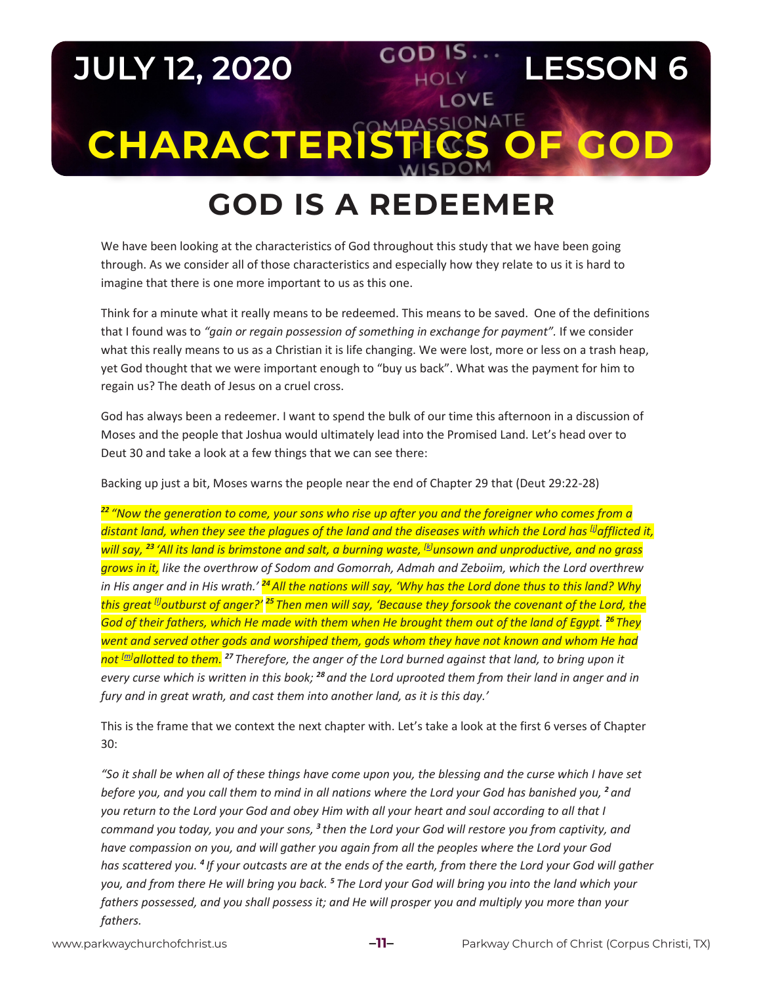## **JULY 12, 2020 COD IS LESSON 6 LOVE CHARACTERISTICS**

## **GOD IS A REDEEMER God is a Redeemer**

We have been looking at the characteristics of God throughout this study that we have been going through. As we consider all of those characteristics and especially how they relate to us it is hard to imagine that there is one more important to us as this one.

Think for a minute what it really means to be redeemed. This means to be saved. One of the definitions that I found was to *"gain or regain possession of something in exchange for payment".* If we consider what this really means to us as a Christian it is life changing. We were lost, more or less on a trash heap, yet God thought that we were important enough to "buy us back". What was the payment for him to regain us? The death of Jesus on a cruel cross.

God has always been a redeemer. I want to spend the bulk of our time this afternoon in a discussion of Moses and the people that Joshua would ultimately lead into the Promised Land. Let's head over to Deut 30 and take a look at a few things that we can see there:

Backing up just a bit, Moses warns the people near the end of Chapter 29 that (Deut 29:22-28)

*<sup>22</sup> "Now the generation to come, your sons who rise up after you and the foreigner who comes from a distant land, when they see the plagues of the land and the diseases with which the Lord has [j] afflicted it, will say, <sup>23</sup> 'All its land is brimstone and salt, a burning waste, [k] unsown and unproductive, and no grass grows in it, like the overthrow of Sodom and Gomorrah, Admah and Zeboiim, which the Lord overthrew in His anger and in His wrath.' <sup>24</sup>All the nations will say, 'Why has the Lord done thus to this land? Why this great [l] outburst of anger?' <sup>25</sup> Then men will say, 'Because they forsook the covenant of the Lord, the God of their fathers, which He made with them when He brought them out of the land of Egypt. <sup>26</sup> They went and served other gods and worshiped them, gods whom they have not known and whom He had not [m] allotted to them. <sup>27</sup> Therefore, the anger of the Lord burned against that land, to bring upon it every curse which is written in this book; <sup>28</sup> and the Lord uprooted them from their land in anger and in fury and in great wrath, and cast them into another land, as it is this day.'*

This is the frame that we context the next chapter with. Let's take a look at the first 6 verses of Chapter 30:

*"So it shall be when all of these things have come upon you, the blessing and the curse which I have set before you, and you call them to mind in all nations where the Lord your God has banished you, <sup>2</sup> and you return to the Lord your God and obey Him with all your heart and soul according to all that I command you today, you and your sons, <sup>3</sup> then the Lord your God will restore you from captivity, and have compassion on you, and will gather you again from all the peoples where the Lord your God has scattered you. <sup>4</sup> If your outcasts are at the ends of the earth, from there the Lord your God will gather you, and from there He will bring you back. <sup>5</sup> The Lord your God will bring you into the land which your fathers possessed, and you shall possess it; and He will prosper you and multiply you more than your fathers.*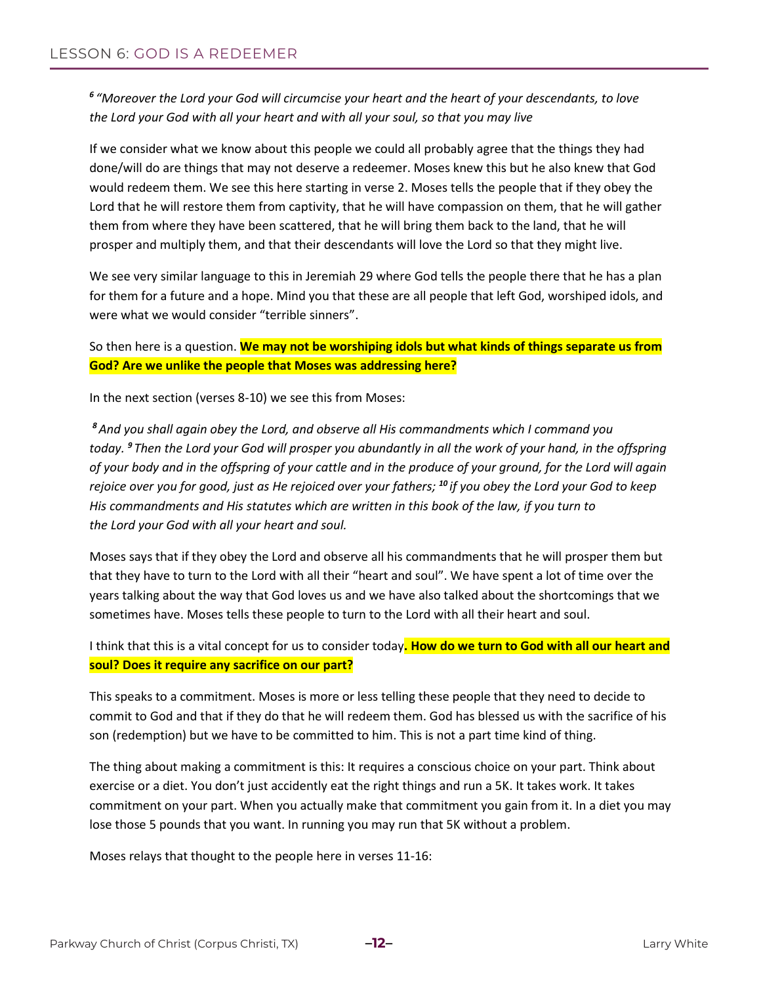*<sup>6</sup> "Moreover the Lord your God will circumcise your heart and the heart of your descendants, to love the Lord your God with all your heart and with all your soul, so that you may live*

If we consider what we know about this people we could all probably agree that the things they had done/will do are things that may not deserve a redeemer. Moses knew this but he also knew that God would redeem them. We see this here starting in verse 2. Moses tells the people that if they obey the Lord that he will restore them from captivity, that he will have compassion on them, that he will gather them from where they have been scattered, that he will bring them back to the land, that he will prosper and multiply them, and that their descendants will love the Lord so that they might live.

We see very similar language to this in Jeremiah 29 where God tells the people there that he has a plan for them for a future and a hope. Mind you that these are all people that left God, worshiped idols, and were what we would consider "terrible sinners".

So then here is a question. **We may not be worshiping idols but what kinds of things separate us from God? Are we unlike the people that Moses was addressing here?**

In the next section (verses 8-10) we see this from Moses:

*<sup>8</sup>And you shall again obey the Lord, and observe all His commandments which I command you today. <sup>9</sup> Then the Lord your God will prosper you abundantly in all the work of your hand, in the offspring of your body and in the offspring of your cattle and in the produce of your ground, for the Lord will again rejoice over you for good, just as He rejoiced over your fathers; <sup>10</sup> if you obey the Lord your God to keep His commandments and His statutes which are written in this book of the law, if you turn to the Lord your God with all your heart and soul.*

Moses says that if they obey the Lord and observe all his commandments that he will prosper them but that they have to turn to the Lord with all their "heart and soul". We have spent a lot of time over the years talking about the way that God loves us and we have also talked about the shortcomings that we sometimes have. Moses tells these people to turn to the Lord with all their heart and soul.

I think that this is a vital concept for us to consider today**. How do we turn to God with all our heart and soul? Does it require any sacrifice on our part?**

This speaks to a commitment. Moses is more or less telling these people that they need to decide to commit to God and that if they do that he will redeem them. God has blessed us with the sacrifice of his son (redemption) but we have to be committed to him. This is not a part time kind of thing.

The thing about making a commitment is this: It requires a conscious choice on your part. Think about exercise or a diet. You don't just accidently eat the right things and run a 5K. It takes work. It takes commitment on your part. When you actually make that commitment you gain from it. In a diet you may lose those 5 pounds that you want. In running you may run that 5K without a problem.

Moses relays that thought to the people here in verses 11-16: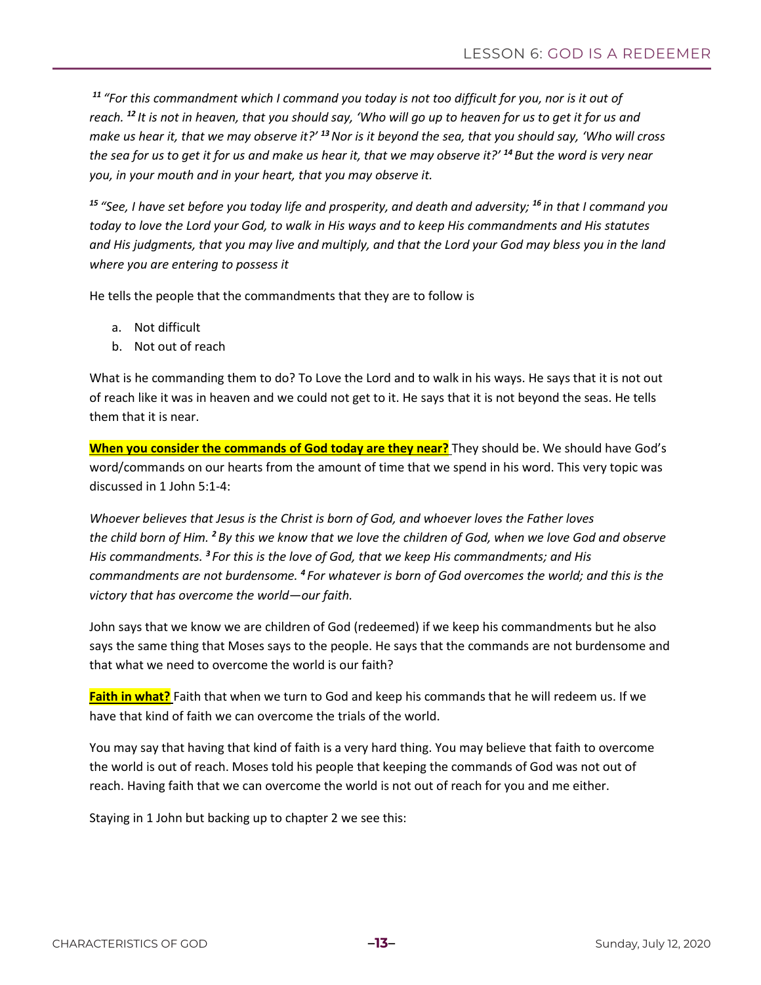*<sup>11</sup> "For this commandment which I command you today is not too difficult for you, nor is it out of reach. <sup>12</sup> It is not in heaven, that you should say, 'Who will go up to heaven for us to get it for us and make us hear it, that we may observe it?' <sup>13</sup>Nor is it beyond the sea, that you should say, 'Who will cross the sea for us to get it for us and make us hear it, that we may observe it?' <sup>14</sup> But the word is very near you, in your mouth and in your heart, that you may observe it.*

*<sup>15</sup> "See, I have set before you today life and prosperity, and death and adversity; <sup>16</sup> in that I command you today to love the Lord your God, to walk in His ways and to keep His commandments and His statutes and His judgments, that you may live and multiply, and that the Lord your God may bless you in the land where you are entering to possess it*

He tells the people that the commandments that they are to follow is

- a. Not difficult
- b. Not out of reach

What is he commanding them to do? To Love the Lord and to walk in his ways. He says that it is not out of reach like it was in heaven and we could not get to it. He says that it is not beyond the seas. He tells them that it is near.

**When you consider the commands of God today are they near?** They should be. We should have God's word/commands on our hearts from the amount of time that we spend in his word. This very topic was discussed in 1 John 5:1-4:

*Whoever believes that Jesus is the Christ is born of God, and whoever loves the Father loves the child born of Him. <sup>2</sup> By this we know that we love the children of God, when we love God and observe His commandments. <sup>3</sup> For this is the love of God, that we keep His commandments; and His commandments are not burdensome. <sup>4</sup> For whatever is born of God overcomes the world; and this is the victory that has overcome the world—our faith.*

John says that we know we are children of God (redeemed) if we keep his commandments but he also says the same thing that Moses says to the people. He says that the commands are not burdensome and that what we need to overcome the world is our faith?

**Faith in what?** Faith that when we turn to God and keep his commands that he will redeem us. If we have that kind of faith we can overcome the trials of the world.

You may say that having that kind of faith is a very hard thing. You may believe that faith to overcome the world is out of reach. Moses told his people that keeping the commands of God was not out of reach. Having faith that we can overcome the world is not out of reach for you and me either.

Staying in 1 John but backing up to chapter 2 we see this: